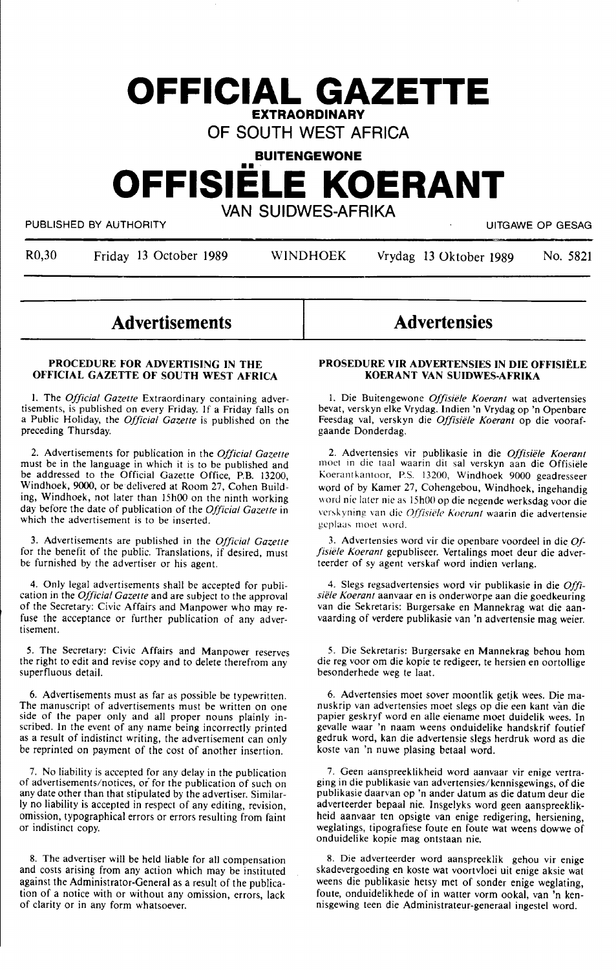## **OFFICIAL GAZETTE EXTRAORDINARY**

**OF SOUTH WEST AFRICA** 

### **BUITENGEWONE**

# •• **OFFISIELE KOERANT VAN SUIDWES-AFRIKA**

PUBLISHED BY AUTHORITY **EXECUTE ALL AUTHORITY** AND RESAGNEED BY AUTHORITY AND RESAGNEED BY AUTHORITY

R0,30 Friday 13 October 1989 WINDHOEK Yrydag 13 Oktober 1989 No. 5821

**Advertisements** 

#### **PROCEDURE FOR ADVERTISING IN THE OFFICIAL GAZETTE OF SOUTH WEST AFRICA**

I. The *Official Gazette* Extraordinary containing advertisements, is published on every Friday. If a Friday falls on a Public Holiday, the *Official Gazette* is published on the preceding Thursday.

2. Advertisements for publication in the *Official Gazelle*  must be in the language in which it is to be published and be addressed to the Official Gazette Office, P.B. 13200, Windhoek, 9000, or be delivered at Room 27, Cohen Building, Windhoek, not later than 15h00 on the ninth working day before the date of publication of the *Official Gazelle* in which the advertisement is to be inserted.

3. Advertisements are published in the *Official Gazette*  for the benefit of the public. Translations, if desired, must be furnished by the advertiser or his agent.

4. Only legal advertisements shall be accepted for publication in the *Official Gazette* and are subject to the approval of the Secretary: Civic Affairs and Manpower who may refuse the acceptance or further publication of any advertisement.

*5.* The Secretary: Civic Affairs and Manpower reserves the right to edit and revise copy and to delete therefrom any superfluous detail.

6. Advertisements must as far as possible be typewritten. The manuscript of advertisements must be written on one side of the paper only and all proper nouns plainly inscribed. In the event of any name being incorrectly printed as a result of indistinct writing, the advertisement can only be reprinted on payment of the cost of another insertion.

7. No liability is accepted for any delay in the publication of advertisements/notices, or for the publication of such on any date other than that stipulated by the advertiser. Similarly no liability is accepted in respect of any editing, revision, omission, typographical errors or errors resulting from faint or indistinct copy.

8. The advertiser will be held liable for all compensation and costs arising from any action which may be instituted against the Administrator-General as a result of the publication of a notice with or without any omission, errors, lack of clarity or in any form whatsoever.

## **Advertensies**

#### PROSEDURE VIR ADVERTENSIES IN DIE OFFISIËLE **KOERANT VAN SUIDWES-AFRIKA**

I. Die Buitengewone *Offisiele Koerant* wat advertensies bevat, verskyn elke Vrydag. Indien 'n Vrydag op 'n Openbare Feesdag val, verskyn die *Offisiele Koerant* op die voorafgaande Donderdag.

2. Advertensies vir publikasie in die *Offisiele Koerant*  moet in die taal waarin dit sal verskyn aan die Offisiële Koerantkantoor, P.S. 13200, Windhoek 9000 geadresseer word of by Kamer 27, Cohengebou, Windhoek, ingehandig word nie later nie as 15h00 op die negende werksdag voor die verskyning van die *Offisiële Koerant* waarin die advertensie geplaas moet word.

3. Advertensies word vir die openbare voordeel in die *Offisiele Koerant* gepubliseer. Vertalings moet deur die adverteerder of sy agent verskaf word indien verlang.

4. Slegs regsadvertensies word vir publikasie in die *Offisiele Koerant* aanvaar en is onderworpe aan die goedkeuring van die Sekretaris: Burgersake en Mannekrag wat die aanvaarding of verdere publikasie van 'n advertensie mag weier.

5. Die Sekretaris: Burgersake en Mannekrag behou horn die reg voor om die kopie te redigeer, te hersien en oortollige besonderhede weg te laat.

6. Advertensies moet sover moontlik getik wees. Die manuskrip van advertensies moet slegs op die een kant van die papier geskryf word en alle eiename moet duidelik wees. In gevalle waar 'n naam weens onduidelike handskrif foutief gedruk word, kan die advertensie slegs herdruk word as die koste van 'n nuwe plasing betaal word.

7. Geen aanspreeklikheid word aanvaar vir enige vertraging in die publikasie van advertensies/kennisgewings, of die publikasie daarvan op 'n ander datum as die datum deur die adverteerder bepaal nie. Insgelyks word geen aanspreeklikheid aanvaar ten opsigte van enige redigering, hersiening, weglatings, tipografiese foute en foute wat weens dowwe of onduidelike kopie mag ontstaan nie.

8. Die adverteerder word aanspreeklik gehou vir enige skadevergoeding en koste wat voortvloei uit enige aksie wat weens die publikasie hetsy met of sonder enige weglating, foute, onduidelikhede of in watter vorm ookal, van 'n kennisgewing teen die Administrateur-generaal ingestel word.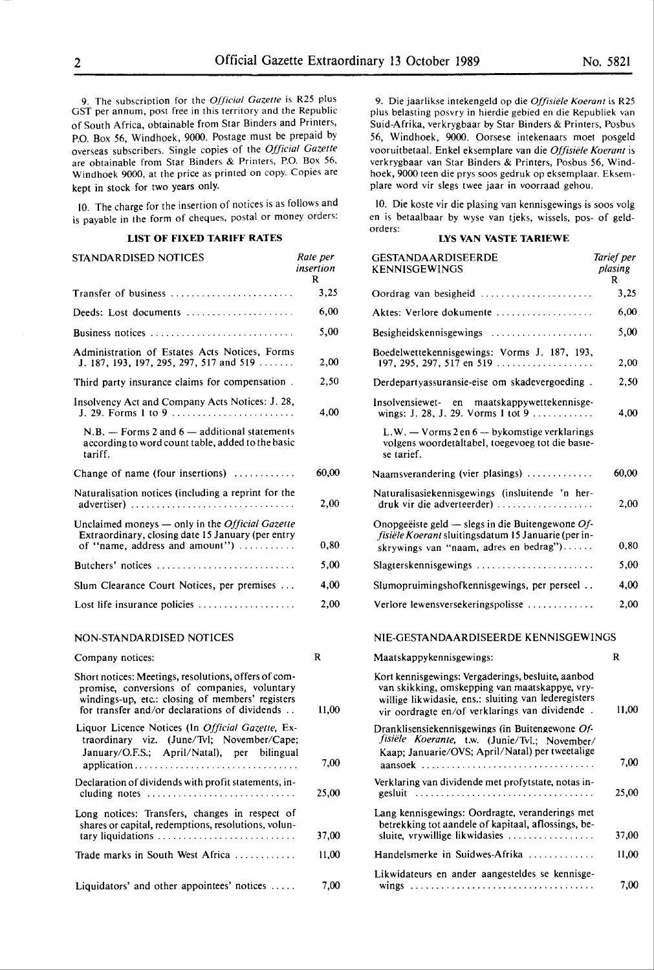9. The subscription for the *Official Gazette* is R25 plus GST per annum, post free in this territory and the Republic of South Africa, obtainable from Star Binders and Printers, P.O. Box 56, Windhoek, 9000. Postage must be prepaid by overseas subscribers. Single copies of the *Official Gazette*  are obtainable from Star Binders & Printers, P.O. Box 56, Windhoek 9000, at the price as printed on copy. Copies are kept in stock for two years only.

IO. The charge for the insertion of notices is as follows and is payable in the form of cheques, postal or money orders:

#### **LIST OF FIXED TARIFF RATES**

| STANDARDISED NOTICES                                                                                                                          | Rate per<br>insertion<br>R |
|-----------------------------------------------------------------------------------------------------------------------------------------------|----------------------------|
| Transfer of business                                                                                                                          | 3.25                       |
| Deeds: Lost documents                                                                                                                         | 6,00                       |
| Business notices                                                                                                                              | 5,00                       |
| Administration of Estates Acts Notices, Forms<br>J. 187, 193, 197, 295, 297, 517 and 519                                                      | 2,00                       |
| Third party insurance claims for compensation.                                                                                                | 2,50                       |
| Insolvency Act and Company Acts Notices: J. 28,<br>J. 29. Forms 1 to 9                                                                        | 4,00                       |
| $N.B.$ — Forms 2 and 6 — additional statements<br>according to word count table, added to the basic<br>tariff.                                |                            |
| Change of name (four insertions)                                                                                                              | 60.00                      |
| Naturalisation notices (including a reprint for the<br>advertiser)                                                                            | 2,00                       |
| Unclaimed moneys — only in the <i>Official Gazette</i><br>Extraordinary, closing date 15 January (per entry<br>of "name, address and amount") | 0,80                       |
| Butchers' notices                                                                                                                             | 5,00                       |
| Slum Clearance Court Notices, per premises                                                                                                    | 4,00                       |
| Lost life insurance policies                                                                                                                  | 2.00                       |
|                                                                                                                                               |                            |

#### NON-STANDARDISED NOTICES

| Company notices:                                                                                                                                                                                          | R     |
|-----------------------------------------------------------------------------------------------------------------------------------------------------------------------------------------------------------|-------|
| Short notices: Meetings, resolutions, offers of com-<br>promise, conversions of companies, voluntary<br>windings-up, etc.: closing of members' registers<br>for transfer and/or declarations of dividends | 11.00 |
| Liquor Licence Notices (In <i>Official Gazette</i> , Ex-<br>traordinary viz. (June/Tvl; November/Cape;<br>January/O.F.S.: April/Natal), per bilingual                                                     | 7,00  |
| Declaration of dividends with profit statements, in-<br>cluding notes                                                                                                                                     | 25,00 |
| Long notices: Transfers, changes in respect of<br>shares or capital, redemptions, resolutions, volun-<br>tary liquidations                                                                                | 37.00 |
| Trade marks in South West Africa $\ldots \ldots \ldots$                                                                                                                                                   | 11,00 |
| Liquidators' and other appointees' notices                                                                                                                                                                | 7,00  |

9. Die jaarlikse intekengeld op die *Offisiele Koerant* is R25 plus belasting posvry in hierdie gebied en die Republiek van Suid-Afrika, verkrygbaar by Star Binders & Printers, Posbus 56, Windhoek, 9000. Oorsese intekenaars moet posgeld vooruitbetaal. Enkel eksemplare van die *Offisiele Koerant* is verkrygbaar van Star Binders & Printers, Posbus 56, Windhoek, 9000 teen die prys soos gedruk op eksemplaar. Eksemplare word vir slegs twee jaar in voorraad gehou.

10. Die koste vir die plasing van kennisgewings is soos volg en is betaalbaar by wyse van tjeks, wissels, pos- of geldorders:

#### **LYS VAN VASTE TARIEWE**

| <b>GESTANDAARDISEERDE</b><br><b>KENNISGEWINGS</b>                                                                                                                                                              | Tarief per<br>plasing<br>R |
|----------------------------------------------------------------------------------------------------------------------------------------------------------------------------------------------------------------|----------------------------|
| Oordrag van besigheid                                                                                                                                                                                          | 3,25                       |
| Aktes: Verlore dokumente                                                                                                                                                                                       | 6,00                       |
| Besigheidskennisgewings                                                                                                                                                                                        | 5,00                       |
| Boedelwettekennisgewings: Vorms J. 187, 193,                                                                                                                                                                   | 2,00                       |
| Derdepartyassuransie-eise om skadevergoeding.                                                                                                                                                                  | 2,50                       |
| Insolvensiewet- en<br>maatskappywettekennisge-<br>wings: J. 28, J. 29. Vorms 1 tot 9                                                                                                                           | 4,00                       |
| L.W. — Vorms 2 en 6 — bykomstige verklarings<br>volgens woordetaltabel, toegevoeg tot die basie-<br>se tarief.                                                                                                 |                            |
| Naamsverandering (vier plasings) $\dots\dots\dots\dots$                                                                                                                                                        | 60,00                      |
| Naturalisasiekennisgewings (insluitende 'n her-<br>$druk$ vir die adverteerder)                                                                                                                                | 2,00                       |
| Onopgeëiste geld — slegs in die Buitengewone $Of$ -<br>fisiële Koerant sluitingsdatum 15 Januarie (per in-<br>skrywings van "naam, adres en bedrag")                                                           | 0,80                       |
| Slagterskennisgewings                                                                                                                                                                                          | 5,00                       |
| Slumopruimingshofkennisgewings, per perseel                                                                                                                                                                    | 4,00                       |
| Verlore lewensversekeringspolisse                                                                                                                                                                              | 2,00                       |
| NIE-GESTANDAARDISEERDE KENNISGEWINGS                                                                                                                                                                           |                            |
| Maatskappykennisgewings:                                                                                                                                                                                       | R                          |
| Kort kennisgewings: Vergaderings, besluite, aanbod<br>van skikking, omskepping van maatskappye, vry-<br>willige likwidasie, ens.: sluiting van lederegisters<br>vir oordragte en/of verklarings van dividende. | 11,00                      |
| Dranklisensiekennisgewings (in Buitengewone Of-<br>fisiële Koerante, t.w. (Junie/Tvl.; November/<br>Kaap; Januarie/OVS; April/Natal) per tweetalige<br>aansoek .                                               | 7,00                       |
| Verklaring van dividende met profytstate, notas in-                                                                                                                                                            | 25,00                      |
| Lang kennisgewings: Oordragte, veranderings met<br>betrekking tot aandele of kapitaal, aflossings, be-<br>sluite, vrywillige likwidasies                                                                       | 37,00                      |
| Handelsmerke in Suidwes-Afrika                                                                                                                                                                                 | 11,00                      |
| Likwidateurs en ander aangesteldes se kennisge-                                                                                                                                                                |                            |
|                                                                                                                                                                                                                | 7,00                       |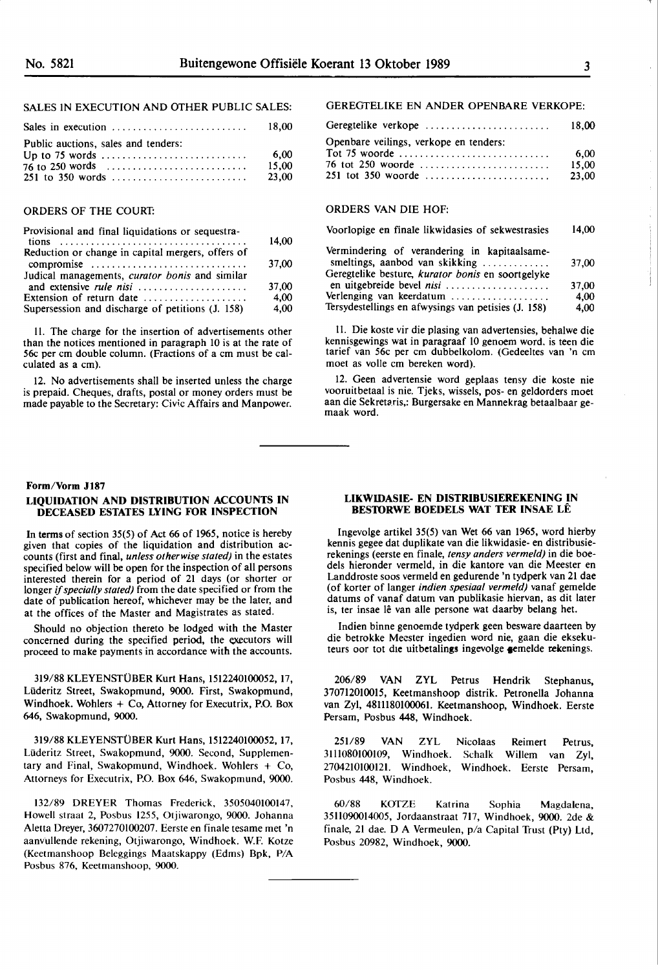|                                     | -18.00 |
|-------------------------------------|--------|
| Public auctions, sales and tenders: |        |
|                                     | - 6.00 |
|                                     | 15.00  |
| $251$ to 350 words                  | 23,00  |

#### ORDERS OF THE COURT:

| Provisional and final liquidations or sequestra-                                                              | 14,00        |
|---------------------------------------------------------------------------------------------------------------|--------------|
| Reduction or change in capital mergers, offers of<br>compromise                                               | 37,00        |
| Judical managements, <i>curator bonis</i> and similar<br>and extensive <i>rule nisi</i>                       | 37,00        |
| Extension of return date $\dots\dots\dots\dots\dots\dots$<br>Supersession and discharge of petitions (J. 158) | 4,00<br>4,00 |
|                                                                                                               |              |

II. The charge for the insertion of advertisements other than the notices mentioned in paragraph 10 is at the rate of 56c per cm double column. (Fractions of a cm must be calculated as a cm).

12. No advertisements shall be inserted unless the charge is prepaid. Cheques, drafts, postal or money orders must be made payable to the Secretary: Civic Affairs and Manpower.

#### **Form/Vorm J187**

#### **LIQUIDATION AND DISTRIBUTION ACCOUNTS IN DECEASED ESTATES LYING FOR INSPECTION**

In **terms** of section 35(5) of Act 66 of 1965, notice is hereby given that copies of the liquidation and distribution accounts (first and final, *unless otherwise stated)* in the estates specified below will be open for the inspection of all persons interested therein for a period of 21 days (or shorter or longer if *specially stated)* from the date specified or from the date of publication hereof, whichever may be the later, and at the offices of the Master and Magistrates as stated.

Should no objection thereto be lodged with the Master concerned during the specified period, the executors will proceed to make payments in accordance with the accounts.

319/88 KLEYENSTUBER Kurt Hans, 1512240100052, 17, Liideritz Street, Swakopmund, 9000. First, Swakopmund, Windhoek. Wohlers + Co, Attorney for Executrix, P.O. Box 646, Swakopmund, 9000.

319/88 KLEYENSTÜBER Kurt Hans, 1512240100052, 17, Lüderitz Street, Swakopmund, 9000. Second, Supplementary and Final, Swakopmund, Windhoek. Wohlers  $+$  Co, Attorneys for Executrix, P.O. Box 646, Swakopmund, 9000.

132/89 DREYER Thomas Frederick, 3505040100147, Howell straat 2, Posbus 1255, Otjiwarongo, 9000. Johanna Aletta Dreyer, 3607270100207. Eerste en finale tesame met 'n aanvullende rekening, Otjiwarongo, Windhoek. W.F. Kotze (Keetmanshoop Beleggings Maatskappy (Edms) Bpk, P/A Posbus 876, Keetmanshoop, 9000.

#### GEREGTELIKE EN ANDER OPENBARE VERKOPE:

| Geregtelike verkope                    | 18.00 |
|----------------------------------------|-------|
| Openbare veilings, verkope en tenders: |       |
|                                        | 6.00  |
| 76 tot 250 woorde                      | 15.00 |
|                                        | 23.00 |
|                                        |       |

#### ORDERS VAN DIE HOF:

| Voorlopige en finale likwidasies of sekwestrasies                              | 14,00 |
|--------------------------------------------------------------------------------|-------|
| Vermindering of verandering in kapitaalsame-<br>smeltings, aanbod van skikking | 37.00 |
| Geregtelike besture, kurator bonis en soortgelyke<br>en uitgebreide bevel nisi | 37,00 |
| Verlenging van keerdatum                                                       | 4.00  |
| Tersydestellings en afwysings van petisies (J. 158)                            | 4,00  |

11. Die koste vir die plasing van advertensies, behalwe die kennisgewings wat in paragraaf 10 genoem word. is teen die tarief van 56c per cm dubbelkolom. (Gedeeltes van 'n cm moet as volle cm bereken word).

12. Geen advertensie word geplaas tensy die koste nie vooruitbetaal is nie. Tjeks, wissels, pos- en geldorders moet aan die Sekretaris,: Burgersake en Mannekrag betaalbaar gemaak word.

#### **LIKWIDASIE- EN DISTRIBUSIEREKENING IN BES10RWE BOEDELS WAT TER INSAE LE**

lngevolge artikel 35(5) van Wet 66 van 1965, word hierby kennis gegee dat duplikate van die likwidasie- en distribusierekenings (eerste en finale, *tensy anders vermeld)* in die boedels hieronder vermeld, in die kantore van die Meester en Landdroste soos vermeld en gedurende 'n tydperk van 21 dae (of korter of !anger *indien spesiaal vermeld)* vanaf gemelde datums of vanaf datum van publikasie hiervan, as dit later is, ter insae lê van alle persone wat daarby belang het.

lndien binne genoemde tydperk geen besware daarteen by die betrokke Meester ingedien word nie, gaan die eksekuteurs oor tot die uitbetalings ingevolge gemelde rekenings.

206/89 VAN ZYL Petrus Hendrik Stephanus, 370712010015, Keetmanshoop distrik. Petronella Johanna van Zyl, 48lll80100061. Keetmanshoop, Windhoek. Eerste Persam, Posbus 448, Windhoek.

251/89 VAN ZYL Nicolaas Reimert Petrus, 3111080100109, Windhoek. Schalk Willem van Zyl, 2704210100121. Windhoek, Windhoek. Eerste Persam, Posbus 448, Windhoek.

60/88 KOfZE Katrina Sophia Magdalena, 3511090014005, Jordaanstraat 717, Windhoek, 9000. 2de & finale, 21 dae. D A Vermeulen, p/a Capital Trust (Pty) Ltd, Posbus 20982, Windhoek, 9000.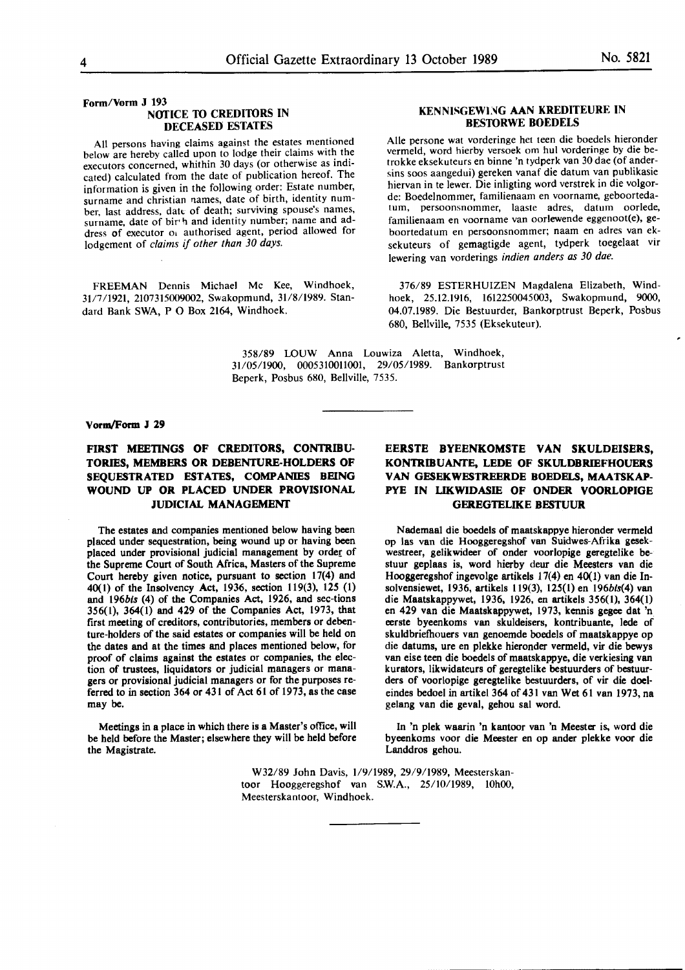**Form/Vorm J 193 NOTICE TO CREDITORS IN DECEASED ESTATES** 

All persons having claims against the estates mentioned below are hereby called upon to lodge their claims with the executors concerned, whithin 30 days (or otherwise as indicated) calculated from the date of publication hereof. The information is given in the following order: Estate number, surname and christian names, date of birth, identity number, last address, date of death; surviving spouse's names, surname, date of bir<sup>th</sup> and identity number; name and address of executor of authorised agent, period allowed for lodgement of *claims if other than 30 days.* 

FREEMAN Dennis Michael Mc Kee, Windhoek, 31/7/1921, 2107315009002, Swakopmund, 31/8/1989. Standard Bank SWA, P O Box 2164, Windhoek.

#### **KENNISGEWING AAN KREDITEURE IN BESTORWE BOEDELS**

Alie persone wat vorderinge het teen die boedels hieronder vermeld, word hierby versoek om hul vorderinge by die betrokke eksekuteurs en binne 'n tydperk van 30 dae (of andersins soos aangedui) gereken vanaf die datum van publikasie hiervan in te lewer. Die inligting word verstrek in die volgorde: Boedelnommer, familienaam en voorname, geboortedatum, persoonsnommer, laaste adres, datum oorlede, familienaam en voorname van oorlewende eggenoot(e), geboortedatum en persoonsnommer; naam en adres van eksekuteurs of gemagtigde agent, tydperk toegelaat vir Jewering van vorderings *indien anders as 30 dae.* 

376/89 ESTERHUIZEN Magdalena Elizabeth, Windhoek, 25.12.1916, 1612250045003, Swakopmund, 9000, 04.07.1989. Die Bestuurder, Bankorptrust Beperk, Posbus 680, Bellville, 7535 (Eksekuteur).

358/89 l.OUW Anna Louwiza Aletta, Windhoek, 31/05/1900, 0005310011001, 29/05/1989. Bankorptrust Beperk, Posbus 680, Bellville, 7535.

#### **Vonn/Form J 29**

#### FIRST MEETINGS OF CREDITORS, CONTRIBU-**TORIES, MEMBERS OR DEBENTURE-HOLDERS OF SEQUESTRATED ESTATES, COMPANIES BEING WOUND UP OR PLACED UNDER PROVISIONAL JUDICIAL MANAGEMENT**

The estates and companies mentioned below having been placed under sequestration, being wound up or having been placed under provisional judicial management by order of the Supreme Court of South Africa, Masters of the Supreme Court hereby given notice, pursuant to section 17(4) and 40(1) of the Insolvency Act, 1936, section 119(3), 125 (1) and l96bts (4) of the Companies Act, 1926, and sec-tions 356(1), 364(1) and 429 of the Companies Act, 1973, that first meeting of creditors, contributories, members or **deben**ture-holders of the **said estates** or companies will be held on the dates and at the times and places mentioned below, for proof of claims against the estates or companies, the election of trustees, liquidators or judicial managers or managers or provisional judicial managers or for the purposes referred to in section 364 or 431 of Act 61 of 1973, as the case may be.

Meetings in a place in which there is **a** Master's office, will be held before the Master; elsewhere they will be held before the Magistrate.

#### **EERSTE BYEENKOMSTE VAN SKULDEISERS, KONTRIBUANTE, LEDE OF SKULDBRIEFHOUERS** VAN GESEKWESTREERDE BOEDELS, **MAATSKAP-PYE IN LIKWIDASIE OF ONDER VOORLOPIGE**  GEREGTELIKE **BESTUUR**

Nademaal die boedels of maatskappye hieronder vermeld op las van die Hooggeregshof van Suidwes-Afrika gesekwestreer, gelikwideer of onder voorlopige geregtelike bestuur geplaas is, word hierby deur die Meesters van die Hooggeregshof ingevolge artikels 17(4) en 40(1) van die Insolvensiewet, 1936, artikels 119(3), 125(1) en 196bts(4) van die Maatskappywet, 1936, 1926, en artikels 356(1), 364(1) en 429 van die Maatskappywet, 1973, kennis gegee dat 'n. eerste byeenkoms van skuldeisers, kontribuante, lede of skuldbriefhouers van genoemde boedels of maatskappye op die datums, ure en plekke hieronder venneld, vir die bewys van eise teen die boedels of maatskappye, die verkiesing van kurators, likwidateurs of geregtelike bestuurders of bestuurders of voorlopige geregtelike bestuurders, of vir die doeleindes bedoel in artikel 364 of 431 van Wet 61 van 1973, na gelang van die geval, gehou sal word.

In 'n plek waarin 'n kantoor van 'n Meester is, word die byeenkoms voor die Meester en op ander plekke voor die Landdros gehou.

W32/89 John Davis, 1/9/1989, 29/9/1989, Meesterskantoor Hooggeregshof van S.W.A., 25/10/1989, 10h00, Meesterskantoor, Windhoek.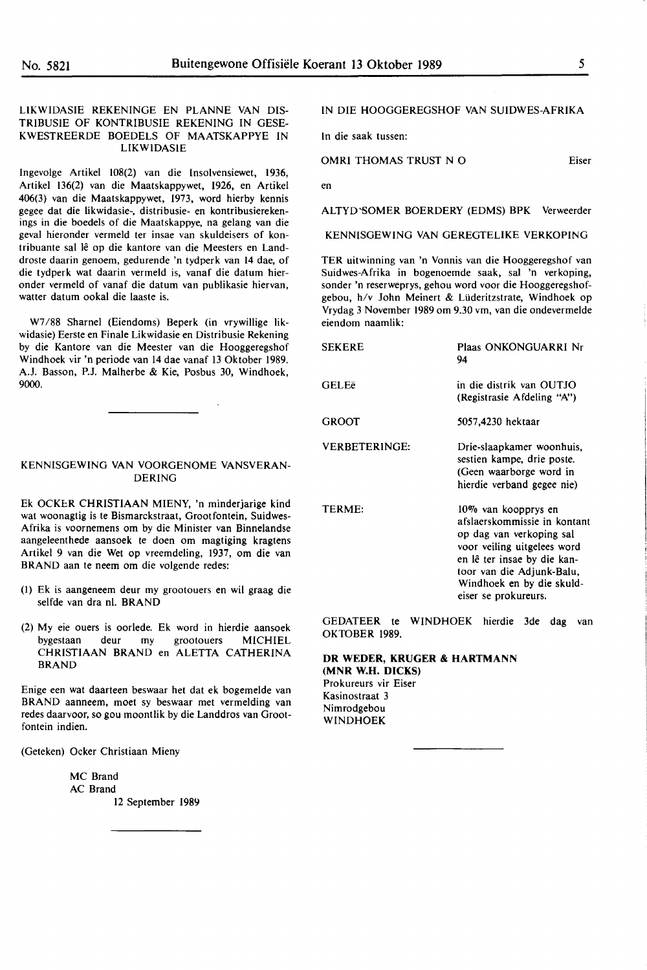#### **LIKWIDASIE REKENINGE EN PLANNE VAN DIS-TRIBUSIE OF KONTRIBUSIE REKENING IN** GESE-**KWESTREERDE BOEDELS OF MAATSKAPPYE IN LIKWIDASIE**

lngevolge **Artikel 108(2)** van die **lnsolvensiewet, 1936,**  Artikel 136(2) **van die** Maatskappywet, **1926, en Artikel**  406(3) van **die Maatskappywet,** 1973, word **hierby kennis**  gegee dat **die likwidasie-,** distribusie- en **kontribusiereken**ings in die boedels of die Maatskappye, na gelang van die geval hieronder vermeld ter insae van skuldeisers of kontribuante sal lê op die kantore van die Meesters en Landdroste daarin genoem, gedurende 'n tydperk van 14 dae, of die tydperk wat daarin vermeld is, vanaf die datum hieronder vermeld of vanaf die datum van publikasie hiervan, watter datum ookal die laaste is.

W7 /88 Shamel (Eiendoms) Beperk (in vrywillige likwidasie) Eerste en Finale Likwidasie en Distribusie Rekening by die Kantore van die Meester van die Hooggeregshof Windhoek vir 'n periode van 14 dae vanaf 13 Oktober 1989. A.J. Basson, P.J. Malherbe & Kie, Posbus 30, Windhoek, 9000.

#### KENNISGEWING **VAN** VOORGENOME **VANSVERAN-**DERING

Ek OCKER CHRISTIAAN MIENY, 'n minderjarige kind wat woonagtig is te Bismarckstraat, Grootfontein, Suidwes-Afrika is voornemens om by die Minister van Binnelandse aangeleenthede aansoek te doen om magtiging kragtens Artikel 9 van die Wet op vreemdeling, 1937, om die van **BRAND** aan te neem om die volgende redes:

- (I) Ek is **aangeneem deur** my grootouers **en wil graag** die selfde **van dra nl. BRAND**
- (2) My eie **ouers is oorlede.** Ek word in **hierdie aansoek**  bygestaan **deur** my grootouers **MICHIEL CHRISTIAAN BRAND** en **ALETTA CATHERINA BRAND**

Enige een wat daarteen beswaar het dat ek bogemelde van BRAND aanneem, moet sy beswaar met vermelding van redes daarvoor, so gou moontlik by die Landdros van Grootfontein indien.

(Geteken) **Ocker Christiaan** Mieny

MC Brand AC Brand 12 September 1989

#### IN DIE HOOGGEREGSHOF VAN SUIDWES-AFRIKA

In die saak tussen:

OMRI THOMAS TRUST N O Eiser

en

ALTYD'SOMER BOERDERY (EDMS) BPK Verweerder

KENNISGEWING VAN GEREGTELIKE VERKOPING

TER uitwinning van 'n Vonnis van die Hooggeregshof van Suidwes-Afrika in bogenoemde saak, sal 'n verkoping, sonder 'n reserweprys, gehou word voor die Hooggeregshofgebou, h/v John Meinert & Lüderitzstrate, Windhoek op Vrydag 3 November 1989 om 9.30 vm, van die ondevermelde eiendom naamlik:

| <b>SEKERE</b>        | Plaas ONKONGUARRI Nr<br>94                                                                                                                                                                                                      |
|----------------------|---------------------------------------------------------------------------------------------------------------------------------------------------------------------------------------------------------------------------------|
| <b>GELEë</b>         | in die distrik van OUTJO<br>(Registrasie Afdeling "A")                                                                                                                                                                          |
| GROOT                | 5057,4230 hektaar                                                                                                                                                                                                               |
| <b>VERBETERINGE:</b> | Drie-slaapkamer woonhuis,<br>sestien kampe, drie poste.<br>(Geen waarborge word in<br>hierdie verband gegee nie)                                                                                                                |
| <b>TERME:</b>        | 10% van koopprys en<br>afslaerskommissie in kontant<br>op dag van verkoping sal<br>voor veiling uitgelees word<br>en lê ter insae by die kan-<br>toor van die Adjunk-Balu,<br>Windhoek en by die skuld-<br>eiser se prokureurs. |

GEDATEER te WINDHOEK hierdie 3de dag van OKTOBER 1989.

#### **DR WEDER, KRUGER** & **HARTMANN (MNR W.H. DICKS)**

Prokureurs vir Eiser Kasinostraat 3 Nimrodgebou WINDHOEK